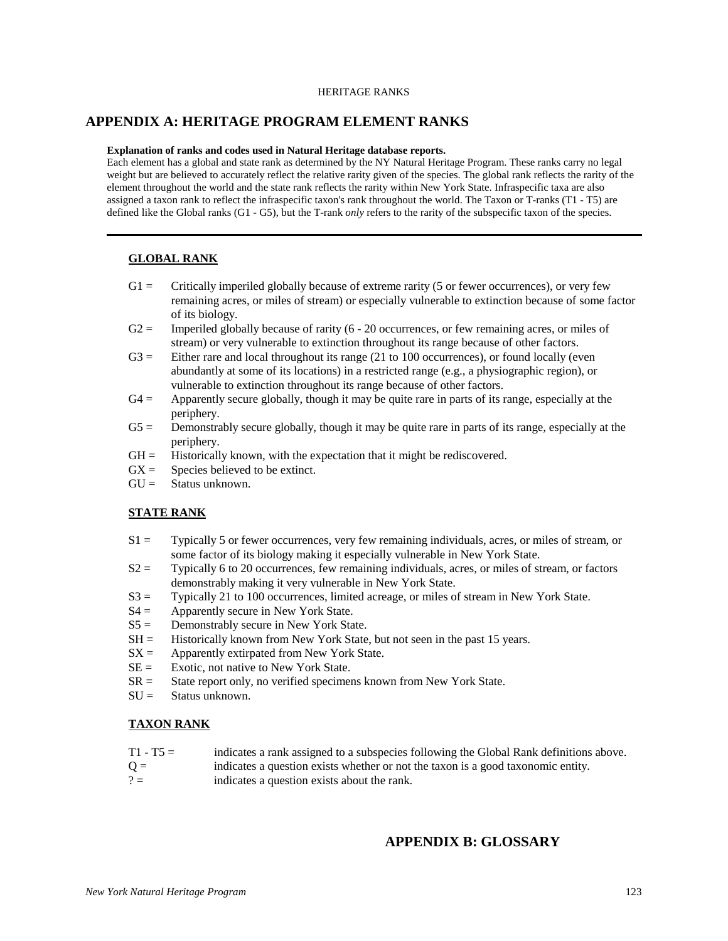#### HERITAGE RANKS

## **APPENDIX A: HERITAGE PROGRAM ELEMENT RANKS**

#### **Explanation of ranks and codes used in Natural Heritage database reports.**

Each element has a global and state rank as determined by the NY Natural Heritage Program. These ranks carry no legal weight but are believed to accurately reflect the relative rarity given of the species. The global rank reflects the rarity of the element throughout the world and the state rank reflects the rarity within New York State. Infraspecific taxa are also assigned a taxon rank to reflect the infraspecific taxon's rank throughout the world. The Taxon or T-ranks (T1 - T5) are defined like the Global ranks (G1 - G5), but the T-rank *only* refers to the rarity of the subspecific taxon of the species.

#### **GLOBAL RANK**

- G1 = Critically imperiled globally because of extreme rarity (5 or fewer occurrences), or very few remaining acres, or miles of stream) or especially vulnerable to extinction because of some factor of its biology.
- $G2 =$  Imperiled globally because of rarity (6 20 occurrences, or few remaining acres, or miles of stream) or very vulnerable to extinction throughout its range because of other factors.
- $G3 =$  Either rare and local throughout its range (21 to 100 occurrences), or found locally (even abundantly at some of its locations) in a restricted range (e.g., a physiographic region), or vulnerable to extinction throughout its range because of other factors.
- $G4 =$  Apparently secure globally, though it may be quite rare in parts of its range, especially at the periphery.
- $G5 =$  Demonstrably secure globally, though it may be quite rare in parts of its range, especially at the periphery.
- $GH =$  Historically known, with the expectation that it might be rediscovered.
- $GX =$  Species believed to be extinct.
- $GU =$  Status unknown.

## **STATE RANK**

- S1 = Typically 5 or fewer occurrences, very few remaining individuals, acres, or miles of stream, or some factor of its biology making it especially vulnerable in New York State.
- S2 = Typically 6 to 20 occurrences, few remaining individuals, acres, or miles of stream, or factors demonstrably making it very vulnerable in New York State.
- S3 = Typically 21 to 100 occurrences, limited acreage, or miles of stream in New York State.
- $S4 =$  Apparently secure in New York State.
- $S5 =$  Demonstrably secure in New York State.
- $SH =$  Historically known from New York State, but not seen in the past 15 years.
- $SX =$  Apparently extirpated from New York State.
- $SE =$  Exotic, not native to New York State.
- $SR =$  State report only, no verified specimens known from New York State.
- $SU =$  Status unknown.

### **TAXON RANK**

- T1 T5 = indicates a rank assigned to a subspecies following the Global Rank definitions above.
- $Q =$  indicates a question exists whether or not the taxon is a good taxonomic entity.
- $? =$  indicates a question exists about the rank.

# **APPENDIX B: GLOSSARY**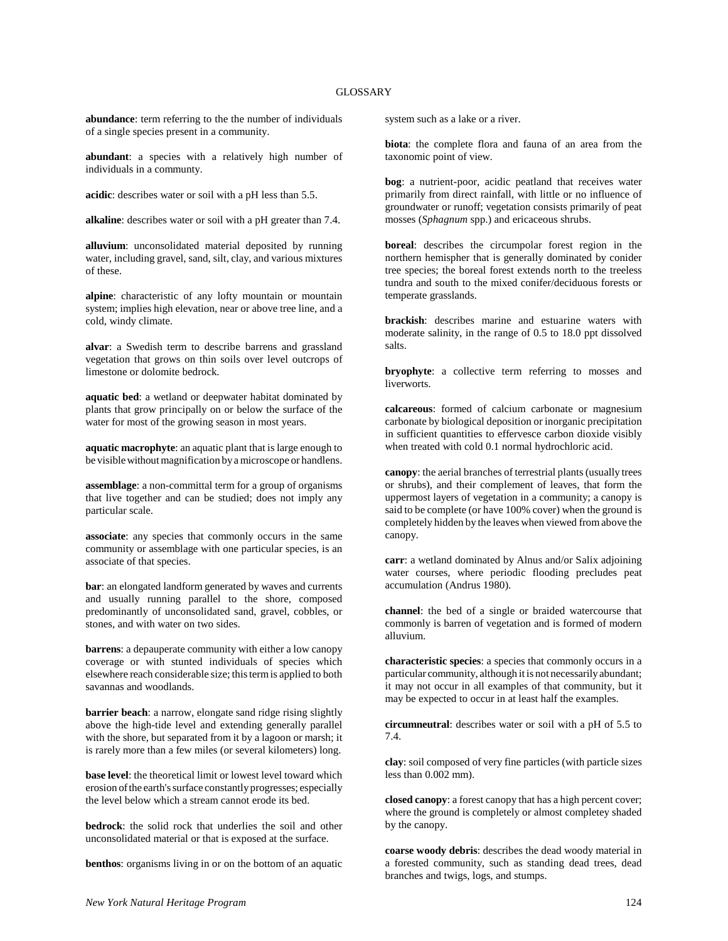**abundance**: term referring to the the number of individuals of a single species present in a community.

**abundant**: a species with a relatively high number of individuals in a communty.

**acidic**: describes water or soil with a pH less than 5.5.

**alkaline**: describes water or soil with a pH greater than 7.4.

**alluvium**: unconsolidated material deposited by running water, including gravel, sand, silt, clay, and various mixtures of these.

**alpine**: characteristic of any lofty mountain or mountain system; implies high elevation, near or above tree line, and a cold, windy climate.

**alvar**: a Swedish term to describe barrens and grassland vegetation that grows on thin soils over level outcrops of limestone or dolomite bedrock.

**aquatic bed**: a wetland or deepwater habitat dominated by plants that grow principally on or below the surface of the water for most of the growing season in most years.

**aquatic macrophyte**: an aquatic plant that is large enough to be visible without magnification by a microscope or handlens.

**assemblage**: a non-committal term for a group of organisms that live together and can be studied; does not imply any particular scale.

**associate**: any species that commonly occurs in the same community or assemblage with one particular species, is an associate of that species.

**bar**: an elongated landform generated by waves and currents and usually running parallel to the shore, composed predominantly of unconsolidated sand, gravel, cobbles, or stones, and with water on two sides.

**barrens**: a depauperate community with either a low canopy coverage or with stunted individuals of species which elsewhere reach considerable size; this term is applied to both savannas and woodlands.

**barrier beach**: a narrow, elongate sand ridge rising slightly above the high-tide level and extending generally parallel with the shore, but separated from it by a lagoon or marsh; it is rarely more than a few miles (or several kilometers) long.

**base level**: the theoretical limit or lowest level toward which erosion of the earth's surface constantly progresses; especially the level below which a stream cannot erode its bed.

**bedrock**: the solid rock that underlies the soil and other unconsolidated material or that is exposed at the surface.

**benthos**: organisms living in or on the bottom of an aquatic

system such as a lake or a river.

**biota**: the complete flora and fauna of an area from the taxonomic point of view.

**bog**: a nutrient-poor, acidic peatland that receives water primarily from direct rainfall, with little or no influence of groundwater or runoff; vegetation consists primarily of peat mosses (*Sphagnum* spp.) and ericaceous shrubs.

**boreal**: describes the circumpolar forest region in the northern hemispher that is generally dominated by conider tree species; the boreal forest extends north to the treeless tundra and south to the mixed conifer/deciduous forests or temperate grasslands.

**brackish**: describes marine and estuarine waters with moderate salinity, in the range of 0.5 to 18.0 ppt dissolved salts.

**bryophyte**: a collective term referring to mosses and liverworts.

**calcareous**: formed of calcium carbonate or magnesium carbonate by biological deposition or inorganic precipitation in sufficient quantities to effervesce carbon dioxide visibly when treated with cold 0.1 normal hydrochloric acid.

**canopy**: the aerial branches of terrestrial plants (usually trees or shrubs), and their complement of leaves, that form the uppermost layers of vegetation in a community; a canopy is said to be complete (or have 100% cover) when the ground is completely hidden by the leaves when viewed from above the canopy.

**carr**: a wetland dominated by Alnus and/or Salix adjoining water courses, where periodic flooding precludes peat accumulation (Andrus 1980).

**channel**: the bed of a single or braided watercourse that commonly is barren of vegetation and is formed of modern alluvium.

**characteristic species**: a species that commonly occurs in a particular community, although it is not necessarily abundant; it may not occur in all examples of that community, but it may be expected to occur in at least half the examples.

**circumneutral**: describes water or soil with a pH of 5.5 to 7.4.

**clay**: soil composed of very fine particles (with particle sizes less than 0.002 mm).

**closed canopy**: a forest canopy that has a high percent cover; where the ground is completely or almost completey shaded by the canopy.

**coarse woody debris**: describes the dead woody material in a forested community, such as standing dead trees, dead branches and twigs, logs, and stumps.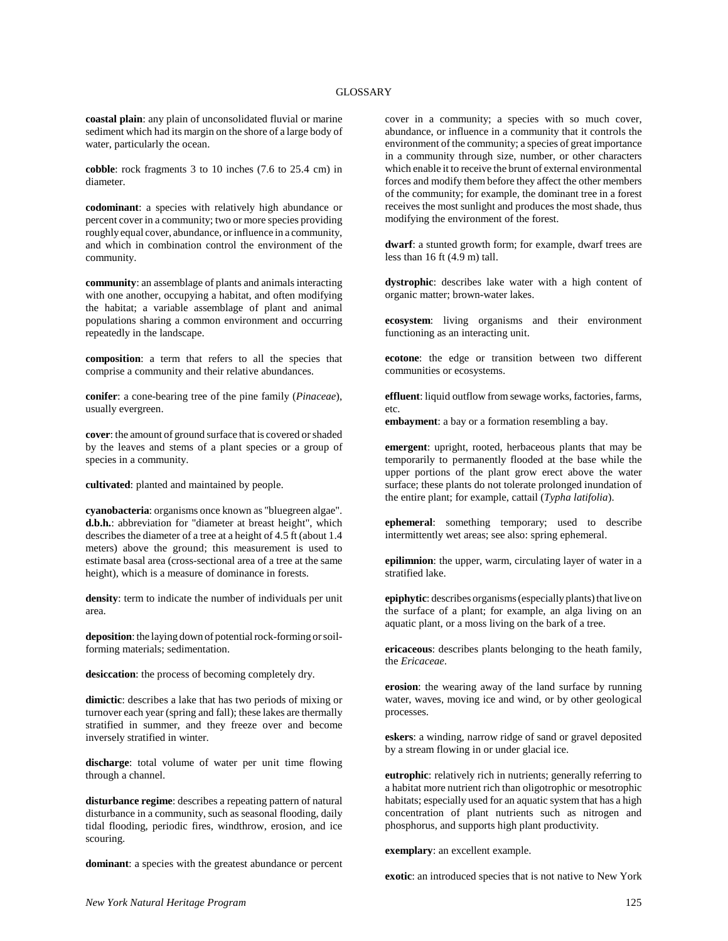**coastal plain**: any plain of unconsolidated fluvial or marine sediment which had its margin on the shore of a large body of water, particularly the ocean.

**cobble**: rock fragments 3 to 10 inches (7.6 to 25.4 cm) in diameter.

**codominant**: a species with relatively high abundance or percent cover in a community; two or more species providing roughly equal cover, abundance, or influence in a community, and which in combination control the environment of the community.

**community**: an assemblage of plants and animals interacting with one another, occupying a habitat, and often modifying the habitat; a variable assemblage of plant and animal populations sharing a common environment and occurring repeatedly in the landscape.

**composition**: a term that refers to all the species that comprise a community and their relative abundances.

**conifer**: a cone-bearing tree of the pine family (*Pinaceae*), usually evergreen.

**cover**: the amount of ground surface that is covered or shaded by the leaves and stems of a plant species or a group of species in a community.

**cultivated**: planted and maintained by people.

**cyanobacteria**: organisms once known as "bluegreen algae". **d.b.h.**: abbreviation for "diameter at breast height", which describes the diameter of a tree at a height of 4.5 ft (about 1.4 meters) above the ground; this measurement is used to estimate basal area (cross-sectional area of a tree at the same height), which is a measure of dominance in forests.

**density**: term to indicate the number of individuals per unit area.

**deposition**: the laying down of potential rock-forming or soilforming materials; sedimentation.

**desiccation**: the process of becoming completely dry.

**dimictic**: describes a lake that has two periods of mixing or turnover each year (spring and fall); these lakes are thermally stratified in summer, and they freeze over and become inversely stratified in winter.

**discharge**: total volume of water per unit time flowing through a channel.

**disturbance regime**: describes a repeating pattern of natural disturbance in a community, such as seasonal flooding, daily tidal flooding, periodic fires, windthrow, erosion, and ice scouring.

**dominant**: a species with the greatest abundance or percent

cover in a community; a species with so much cover, abundance, or influence in a community that it controls the environment of the community; a species of great importance in a community through size, number, or other characters which enable it to receive the brunt of external environmental forces and modify them before they affect the other members of the community; for example, the dominant tree in a forest receives the most sunlight and produces the most shade, thus modifying the environment of the forest.

**dwarf**: a stunted growth form; for example, dwarf trees are less than  $16$  ft  $(4.9 \text{ m})$  tall.

**dystrophic**: describes lake water with a high content of organic matter; brown-water lakes.

**ecosystem**: living organisms and their environment functioning as an interacting unit.

**ecotone**: the edge or transition between two different communities or ecosystems.

**effluent**: liquid outflow from sewage works, factories, farms, etc.

**embayment**: a bay or a formation resembling a bay.

**emergent**: upright, rooted, herbaceous plants that may be temporarily to permanently flooded at the base while the upper portions of the plant grow erect above the water surface; these plants do not tolerate prolonged inundation of the entire plant; for example, cattail (*Typha latifolia*).

**ephemeral**: something temporary; used to describe intermittently wet areas; see also: spring ephemeral.

**epilimnion**: the upper, warm, circulating layer of water in a stratified lake.

**epiphytic**: describes organisms (especially plants) that live on the surface of a plant; for example, an alga living on an aquatic plant, or a moss living on the bark of a tree.

**ericaceous**: describes plants belonging to the heath family, the *Ericaceae*.

**erosion**: the wearing away of the land surface by running water, waves, moving ice and wind, or by other geological processes.

**eskers**: a winding, narrow ridge of sand or gravel deposited by a stream flowing in or under glacial ice.

**eutrophic**: relatively rich in nutrients; generally referring to a habitat more nutrient rich than oligotrophic or mesotrophic habitats; especially used for an aquatic system that has a high concentration of plant nutrients such as nitrogen and phosphorus, and supports high plant productivity.

**exemplary**: an excellent example.

**exotic**: an introduced species that is not native to New York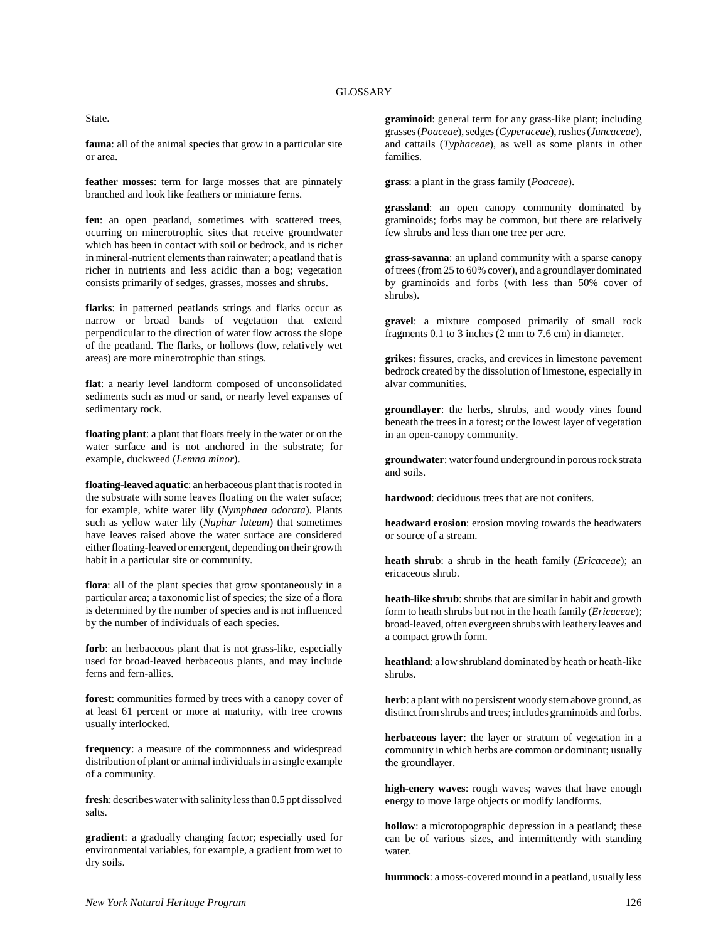State.

**fauna**: all of the animal species that grow in a particular site or area.

**feather mosses**: term for large mosses that are pinnately branched and look like feathers or miniature ferns.

fen: an open peatland, sometimes with scattered trees, ocurring on minerotrophic sites that receive groundwater which has been in contact with soil or bedrock, and is richer in mineral-nutrient elements than rainwater; a peatland that is richer in nutrients and less acidic than a bog; vegetation consists primarily of sedges, grasses, mosses and shrubs.

**flarks**: in patterned peatlands strings and flarks occur as narrow or broad bands of vegetation that extend perpendicular to the direction of water flow across the slope of the peatland. The flarks, or hollows (low, relatively wet areas) are more minerotrophic than stings.

**flat**: a nearly level landform composed of unconsolidated sediments such as mud or sand, or nearly level expanses of sedimentary rock.

**floating plant**: a plant that floats freely in the water or on the water surface and is not anchored in the substrate; for example, duckweed (*Lemna minor*).

**floating-leaved aquatic**: an herbaceous plant that is rooted in the substrate with some leaves floating on the water suface; for example, white water lily (*Nymphaea odorata*). Plants such as yellow water lily (*Nuphar luteum*) that sometimes have leaves raised above the water surface are considered either floating-leaved or emergent, depending on their growth habit in a particular site or community.

**flora**: all of the plant species that grow spontaneously in a particular area; a taxonomic list of species; the size of a flora is determined by the number of species and is not influenced by the number of individuals of each species.

**forb**: an herbaceous plant that is not grass-like, especially used for broad-leaved herbaceous plants, and may include ferns and fern-allies.

**forest**: communities formed by trees with a canopy cover of at least 61 percent or more at maturity, with tree crowns usually interlocked.

**frequency**: a measure of the commonness and widespread distribution of plant or animal individuals in a single example of a community.

**fresh**: describes water with salinity less than 0.5 ppt dissolved salts.

**gradient**: a gradually changing factor; especially used for environmental variables, for example, a gradient from wet to dry soils.

**graminoid**: general term for any grass-like plant; including grasses (*Poaceae*), sedges (*Cyperaceae*), rushes (*Juncaceae*), and cattails (*Typhaceae*), as well as some plants in other families.

**grass**: a plant in the grass family (*Poaceae*).

**grassland**: an open canopy community dominated by graminoids; forbs may be common, but there are relatively few shrubs and less than one tree per acre.

**grass-savanna**: an upland community with a sparse canopy of trees (from 25 to 60% cover), and a groundlayer dominated by graminoids and forbs (with less than 50% cover of shrubs).

**gravel**: a mixture composed primarily of small rock fragments 0.1 to 3 inches (2 mm to 7.6 cm) in diameter.

**grikes:** fissures, cracks, and crevices in limestone pavement bedrock created by the dissolution of limestone, especially in alvar communities.

**groundlayer**: the herbs, shrubs, and woody vines found beneath the trees in a forest; or the lowest layer of vegetation in an open-canopy community.

**groundwater**: water found underground in porous rock strata and soils.

**hardwood**: deciduous trees that are not conifers.

**headward erosion**: erosion moving towards the headwaters or source of a stream.

**heath shrub**: a shrub in the heath family (*Ericaceae*); an ericaceous shrub.

**heath-like shrub**: shrubs that are similar in habit and growth form to heath shrubs but not in the heath family (*Ericaceae*); broad-leaved, often evergreen shrubs with leathery leaves and a compact growth form.

**heathland**: a low shrubland dominated by heath or heath-like shrubs.

herb: a plant with no persistent woody stem above ground, as distinct from shrubs and trees; includes graminoids and forbs.

**herbaceous layer**: the layer or stratum of vegetation in a community in which herbs are common or dominant; usually the groundlayer.

**high-enery waves**: rough waves; waves that have enough energy to move large objects or modify landforms.

**hollow**: a microtopographic depression in a peatland; these can be of various sizes, and intermittently with standing water.

**hummock**: a moss-covered mound in a peatland, usually less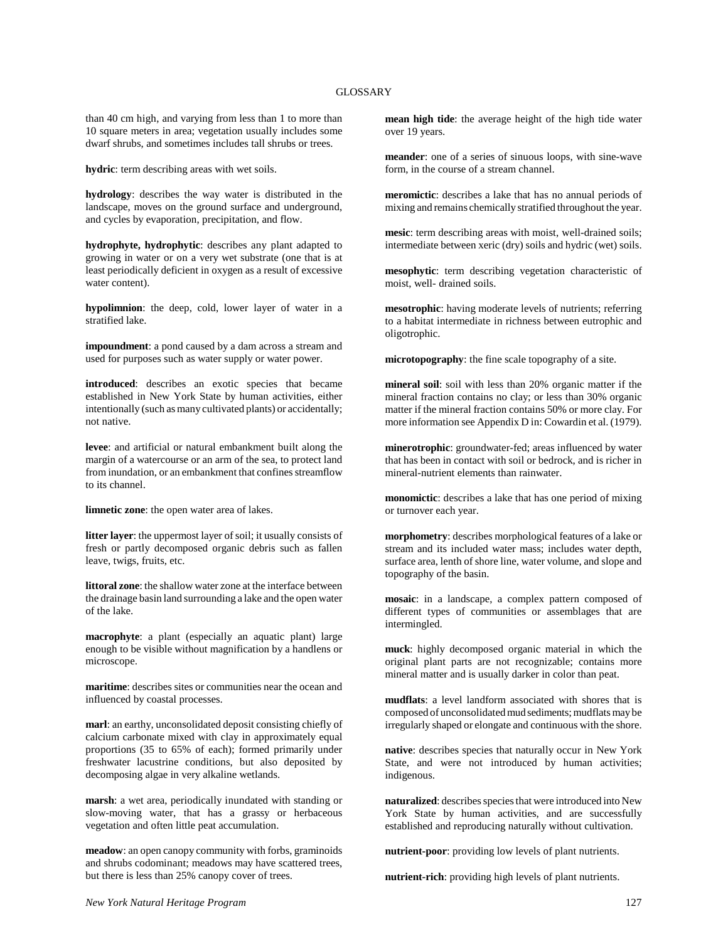than 40 cm high, and varying from less than 1 to more than 10 square meters in area; vegetation usually includes some dwarf shrubs, and sometimes includes tall shrubs or trees.

**hydric**: term describing areas with wet soils.

**hydrology**: describes the way water is distributed in the landscape, moves on the ground surface and underground, and cycles by evaporation, precipitation, and flow.

**hydrophyte, hydrophytic**: describes any plant adapted to growing in water or on a very wet substrate (one that is at least periodically deficient in oxygen as a result of excessive water content).

**hypolimnion**: the deep, cold, lower layer of water in a stratified lake.

**impoundment**: a pond caused by a dam across a stream and used for purposes such as water supply or water power.

**introduced**: describes an exotic species that became established in New York State by human activities, either intentionally (such as many cultivated plants) or accidentally; not native.

**levee**: and artificial or natural embankment built along the margin of a watercourse or an arm of the sea, to protect land from inundation, or an embankment that confines streamflow to its channel.

**limnetic zone**: the open water area of lakes.

**litter layer**: the uppermost layer of soil; it usually consists of fresh or partly decomposed organic debris such as fallen leave, twigs, fruits, etc.

**littoral zone**: the shallow water zone at the interface between the drainage basin land surrounding a lake and the open water of the lake.

**macrophyte**: a plant (especially an aquatic plant) large enough to be visible without magnification by a handlens or microscope.

**maritime**: describes sites or communities near the ocean and influenced by coastal processes.

**marl**: an earthy, unconsolidated deposit consisting chiefly of calcium carbonate mixed with clay in approximately equal proportions (35 to 65% of each); formed primarily under freshwater lacustrine conditions, but also deposited by decomposing algae in very alkaline wetlands.

**marsh**: a wet area, periodically inundated with standing or slow-moving water, that has a grassy or herbaceous vegetation and often little peat accumulation.

**meadow**: an open canopy community with forbs, graminoids and shrubs codominant; meadows may have scattered trees, but there is less than 25% canopy cover of trees.

**mean high tide**: the average height of the high tide water over 19 years.

**meander**: one of a series of sinuous loops, with sine-wave form, in the course of a stream channel.

**meromictic**: describes a lake that has no annual periods of mixing and remains chemically stratified throughout the year.

**mesic**: term describing areas with moist, well-drained soils; intermediate between xeric (dry) soils and hydric (wet) soils.

**mesophytic**: term describing vegetation characteristic of moist, well- drained soils.

**mesotrophic**: having moderate levels of nutrients; referring to a habitat intermediate in richness between eutrophic and oligotrophic.

**microtopography**: the fine scale topography of a site.

**mineral soil**: soil with less than 20% organic matter if the mineral fraction contains no clay; or less than 30% organic matter if the mineral fraction contains 50% or more clay. For more information see Appendix D in: Cowardin et al. (1979).

**minerotrophic**: groundwater-fed; areas influenced by water that has been in contact with soil or bedrock, and is richer in mineral-nutrient elements than rainwater.

**monomictic**: describes a lake that has one period of mixing or turnover each year.

**morphometry**: describes morphological features of a lake or stream and its included water mass; includes water depth, surface area, lenth of shore line, water volume, and slope and topography of the basin.

**mosaic**: in a landscape, a complex pattern composed of different types of communities or assemblages that are intermingled.

**muck**: highly decomposed organic material in which the original plant parts are not recognizable; contains more mineral matter and is usually darker in color than peat.

**mudflats**: a level landform associated with shores that is composed of unconsolidated mud sediments; mudflats may be irregularly shaped or elongate and continuous with the shore.

**native**: describes species that naturally occur in New York State, and were not introduced by human activities; indigenous.

**naturalized**: describes species that were introduced into New York State by human activities, and are successfully established and reproducing naturally without cultivation.

**nutrient-poor**: providing low levels of plant nutrients.

**nutrient-rich**: providing high levels of plant nutrients.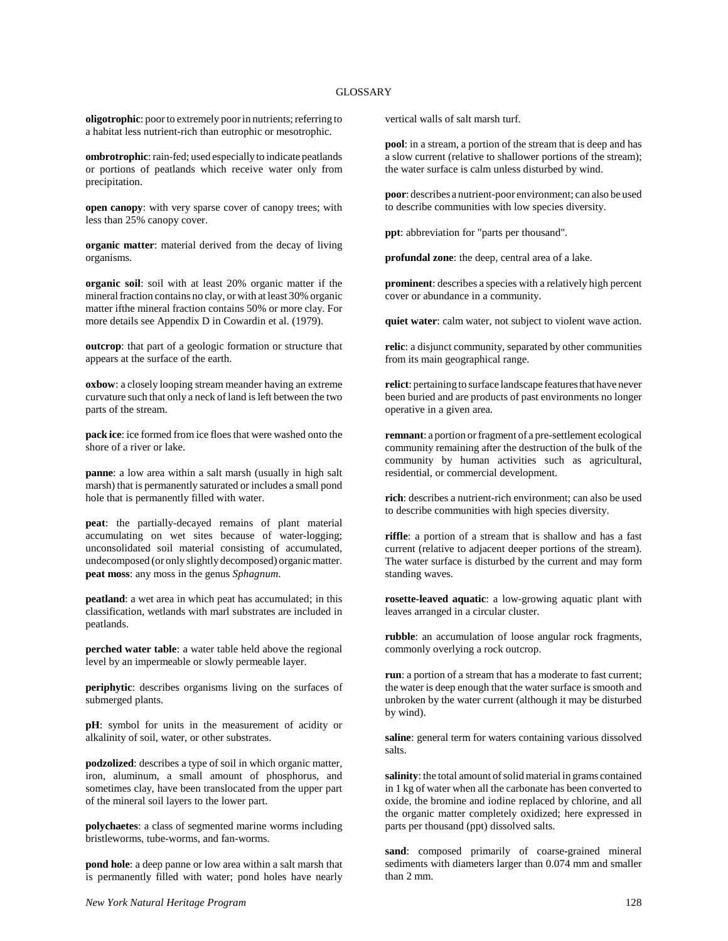**oligotrophic**: poor to extremely poor in nutrients; referring to a habitat less nutrient-rich than eutrophic or mesotrophic.

**ombrotrophic**: rain-fed; used especially to indicate peatlands or portions of peatlands which receive water only from precipitation.

**open canopy**: with very sparse cover of canopy trees; with less than 25% canopy cover.

**organic matter**: material derived from the decay of living organisms.

**organic soil**: soil with at least 20% organic matter if the mineral fraction contains no clay, or with at least 30% organic matter ifthe mineral fraction contains 50% or more clay. For more details see Appendix D in Cowardin et al. (1979).

**outcrop**: that part of a geologic formation or structure that appears at the surface of the earth.

**oxbow**: a closely looping stream meander having an extreme curvature such that only a neck of land is left between the two parts of the stream.

**pack ice**: ice formed from ice floes that were washed onto the shore of a river or lake.

**panne**: a low area within a salt marsh (usually in high salt marsh) that is permanently saturated or includes a small pond hole that is permanently filled with water.

**peat**: the partially-decayed remains of plant material accumulating on wet sites because of water-logging; unconsolidated soil material consisting of accumulated, undecomposed (or only slightly decomposed) organic matter. **peat moss**: any moss in the genus *Sphagnum*.

**peatland**: a wet area in which peat has accumulated; in this classification, wetlands with marl substrates are included in peatlands.

**perched water table**: a water table held above the regional level by an impermeable or slowly permeable layer.

**periphytic**: describes organisms living on the surfaces of submerged plants.

**pH**: symbol for units in the measurement of acidity or alkalinity of soil, water, or other substrates.

**podzolized**: describes a type of soil in which organic matter, iron, aluminum, a small amount of phosphorus, and sometimes clay, have been translocated from the upper part of the mineral soil layers to the lower part.

**polychaetes**: a class of segmented marine worms including bristleworms, tube-worms, and fan-worms.

**pond hole**: a deep panne or low area within a salt marsh that is permanently filled with water; pond holes have nearly vertical walls of salt marsh turf.

**pool**: in a stream, a portion of the stream that is deep and has a slow current (relative to shallower portions of the stream); the water surface is calm unless disturbed by wind.

**poor**: describes a nutrient-poor environment; can also be used to describe communities with low species diversity.

**ppt**: abbreviation for "parts per thousand".

**profundal zone**: the deep, central area of a lake.

**prominent**: describes a species with a relatively high percent cover or abundance in a community.

**quiet water**: calm water, not subject to violent wave action.

**relic**: a disjunct community, separated by other communities from its main geographical range.

**relict**: pertaining to surface landscape features that have never been buried and are products of past environments no longer operative in a given area.

**remnant**: a portion or fragment of a pre-settlement ecological community remaining after the destruction of the bulk of the community by human activities such as agricultural, residential, or commercial development.

**rich**: describes a nutrient-rich environment; can also be used to describe communities with high species diversity.

**riffle**: a portion of a stream that is shallow and has a fast current (relative to adjacent deeper portions of the stream). The water surface is disturbed by the current and may form standing waves.

**rosette-leaved aquatic**: a low-growing aquatic plant with leaves arranged in a circular cluster.

**rubble**: an accumulation of loose angular rock fragments, commonly overlying a rock outcrop.

**run**: a portion of a stream that has a moderate to fast current; the water is deep enough that the water surface is smooth and unbroken by the water current (although it may be disturbed by wind).

**saline**: general term for waters containing various dissolved salts.

**salinity**: the total amount of solid material in grams contained in 1 kg of water when all the carbonate has been converted to oxide, the bromine and iodine replaced by chlorine, and all the organic matter completely oxidized; here expressed in parts per thousand (ppt) dissolved salts.

sand: composed primarily of coarse-grained mineral sediments with diameters larger than 0.074 mm and smaller than 2 mm.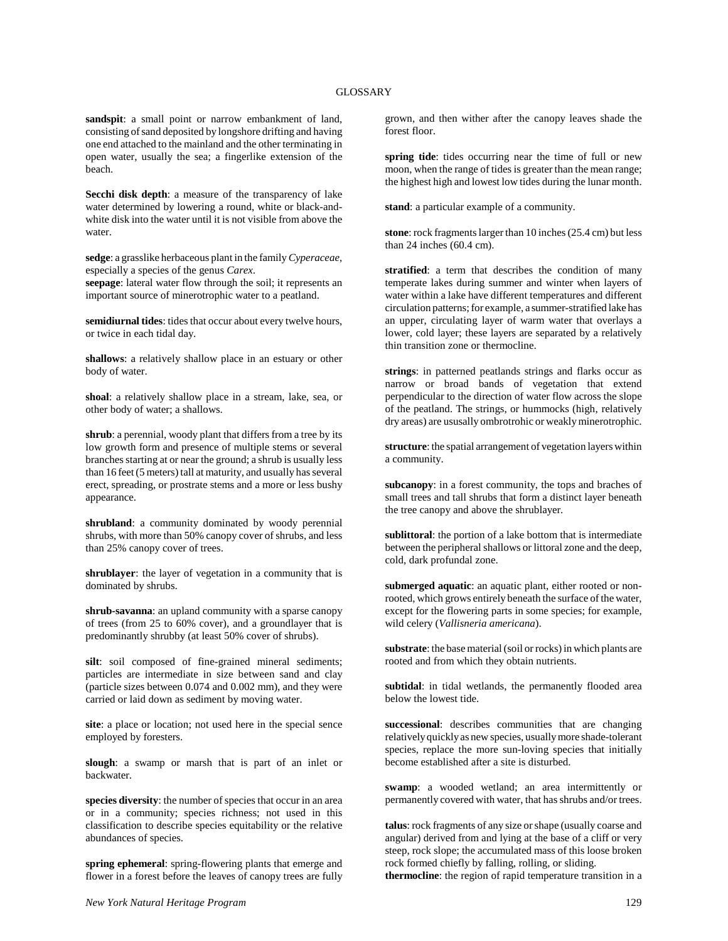**sandspit**: a small point or narrow embankment of land, consisting of sand deposited by longshore drifting and having one end attached to the mainland and the other terminating in open water, usually the sea; a fingerlike extension of the beach.

**Secchi disk depth**: a measure of the transparency of lake water determined by lowering a round, white or black-andwhite disk into the water until it is not visible from above the water.

**sedge**: a grasslike herbaceous plant in the family *Cyperaceae*, especially a species of the genus *Carex*.

**seepage**: lateral water flow through the soil; it represents an important source of minerotrophic water to a peatland.

**semidiurnal tides**: tides that occur about every twelve hours, or twice in each tidal day.

**shallows**: a relatively shallow place in an estuary or other body of water.

**shoal**: a relatively shallow place in a stream, lake, sea, or other body of water; a shallows.

**shrub**: a perennial, woody plant that differs from a tree by its low growth form and presence of multiple stems or several branches starting at or near the ground; a shrub is usually less than 16 feet (5 meters) tall at maturity, and usually has several erect, spreading, or prostrate stems and a more or less bushy appearance.

**shrubland**: a community dominated by woody perennial shrubs, with more than 50% canopy cover of shrubs, and less than 25% canopy cover of trees.

**shrublayer**: the layer of vegetation in a community that is dominated by shrubs.

**shrub-savanna**: an upland community with a sparse canopy of trees (from 25 to 60% cover), and a groundlayer that is predominantly shrubby (at least 50% cover of shrubs).

**silt**: soil composed of fine-grained mineral sediments; particles are intermediate in size between sand and clay (particle sizes between 0.074 and 0.002 mm), and they were carried or laid down as sediment by moving water.

**site**: a place or location; not used here in the special sence employed by foresters.

**slough**: a swamp or marsh that is part of an inlet or backwater.

**species diversity**: the number of species that occur in an area or in a community; species richness; not used in this classification to describe species equitability or the relative abundances of species.

**spring ephemeral**: spring-flowering plants that emerge and flower in a forest before the leaves of canopy trees are fully

grown, and then wither after the canopy leaves shade the forest floor.

**spring tide**: tides occurring near the time of full or new moon, when the range of tides is greater than the mean range; the highest high and lowest low tides during the lunar month.

**stand**: a particular example of a community.

**stone**: rock fragments larger than 10 inches (25.4 cm) but less than 24 inches (60.4 cm).

stratified: a term that describes the condition of many temperate lakes during summer and winter when layers of water within a lake have different temperatures and different circulation patterns; for example, a summer-stratified lake has an upper, circulating layer of warm water that overlays a lower, cold layer; these layers are separated by a relatively thin transition zone or thermocline.

**strings**: in patterned peatlands strings and flarks occur as narrow or broad bands of vegetation that extend perpendicular to the direction of water flow across the slope of the peatland. The strings, or hummocks (high, relatively dry areas) are ususally ombrotrohic or weakly minerotrophic.

**structure**: the spatial arrangement of vegetation layers within a community.

**subcanopy**: in a forest community, the tops and braches of small trees and tall shrubs that form a distinct layer beneath the tree canopy and above the shrublayer.

**sublittoral**: the portion of a lake bottom that is intermediate between the peripheral shallows or littoral zone and the deep, cold, dark profundal zone.

**submerged aquatic**: an aquatic plant, either rooted or nonrooted, which grows entirely beneath the surface of the water, except for the flowering parts in some species; for example, wild celery (*Vallisneria americana*).

**substrate**: the base material (soil or rocks) in which plants are rooted and from which they obtain nutrients.

subtidal: in tidal wetlands, the permanently flooded area below the lowest tide.

**successional**: describes communities that are changing relatively quickly as new species, usually more shade-tolerant species, replace the more sun-loving species that initially become established after a site is disturbed.

**swamp**: a wooded wetland; an area intermittently or permanently covered with water, that has shrubs and/or trees.

**talus**: rock fragments of any size or shape (usually coarse and angular) derived from and lying at the base of a cliff or very steep, rock slope; the accumulated mass of this loose broken rock formed chiefly by falling, rolling, or sliding.

**thermocline**: the region of rapid temperature transition in a